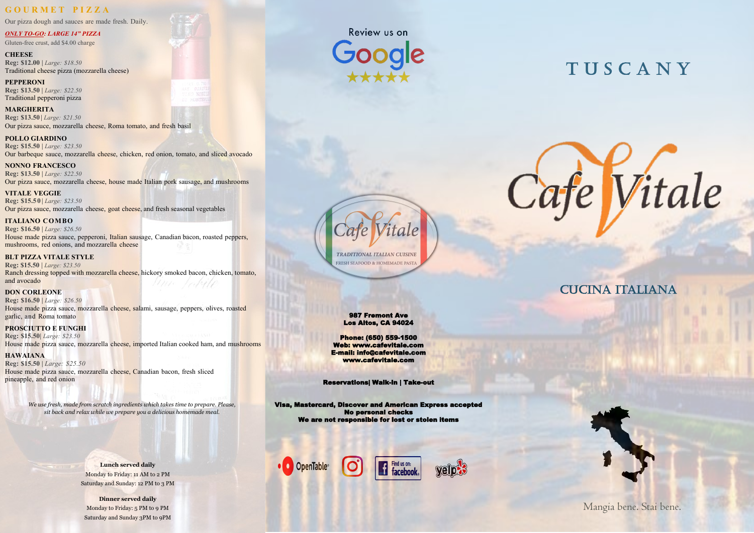*We use fresh, made from scratch ingredients which takes time to prepare. Please, sit back and relax while we prepare you a delicious homemade meal.* 

Mangia bene. Stai bene.

987 Fremont Ave Los Altos, CA 94024

Phone: (650) 559-1500 Web: www.cafevitale.com E-mail: info@cafevitale.com www.cafevitale.com

Reservations| Walk-in | Take-out

Visa, Mastercard, Discover and American Express accepted No personal checks We are not responsible for lost or stolen items

Find us on:

**11** Find us on:<br>**11** facebook.





# **TUSCANY**

Cafe Vitale

**CUCINA ITALIANA** 



# **G O U R M E T P I Z Z A**

Our pizza dough and sauces are made fresh. Daily.

#### *ONLY TO-GO: LARGE 14" PIZZA* Gluten-free crust, add \$4.00 charge

**CHEESE Reg: \$12.00 |** *Large: \$18.50* Traditional cheese pizza (mozzarella cheese)

**PEPPERONI Reg: \$13.50 |** *Large: \$22.50* Traditional pepperoni pizza

**MARGHERITA Reg: \$13.50|** *Large: \$21.50* Our pizza sauce, mozzarella cheese, Roma tomato, and fresh basil

**POLLO GIARDINO Reg: \$15.50 |** *Large: \$23.50* Our barbeque sauce, mozzarella cheese, chicken, red onion, tomato, and sliced avocado

**NONNO FRANCESCO Reg: \$13.50 |** *Large: \$22.50* Our pizza sauce, mozzarella cheese, house made Italian pork sausage, and mushrooms

**VITALE VEGGIE Reg: \$15.50 |** *Large: \$23.50* Our pizza sauce, mozzarella cheese, goat cheese, and fresh seasonal vegetables

**ITALIANO COMBO Reg: \$16.50 |** *Large: \$26.50* House made pizza sauce, pepperoni, Italian sausage, Canadian bacon, roasted peppers, mushrooms, red onions, and mozzarella cheese

#### **BLT PIZZA VITALE STYLE**

**Reg: \$15.50** | *Large: \$23.50* Ranch dressing topped with mozzarella cheese, hickory smoked bacon, chicken, tomato, and avocado

**DON CORLEONE Reg: \$16.50 |** *Large: \$26.50* House made pizza sauce, mozzarella cheese, salami, sausage, peppers, olives, roasted garlic, and Roma tomato

**PROSCIUTTO E FUNGHI Reg: \$15.50|** *Large: \$23.50* House made pizza sauce, mozzarella cheese, imported Italian cooked ham, and mushrooms

**HAWAIANA Reg: \$15.50 |** *Large: \$25.50* House made pizza sauce, mozzarella cheese, Canadian bacon, fresh sliced pineapple, and red onion

> **Lunch served daily** Monday to Friday: 11 AM to 2 PM Saturday and Sunday: 12 PM to 3 PM

**Dinner served daily** Monday to Friday: 5 PM to 9 PM Saturday and Sunday 3PM to 9PM





**TRADITIONAL ITALIAN CUISINE** FRESH SEAFOOD & HOMEMADE PAST.